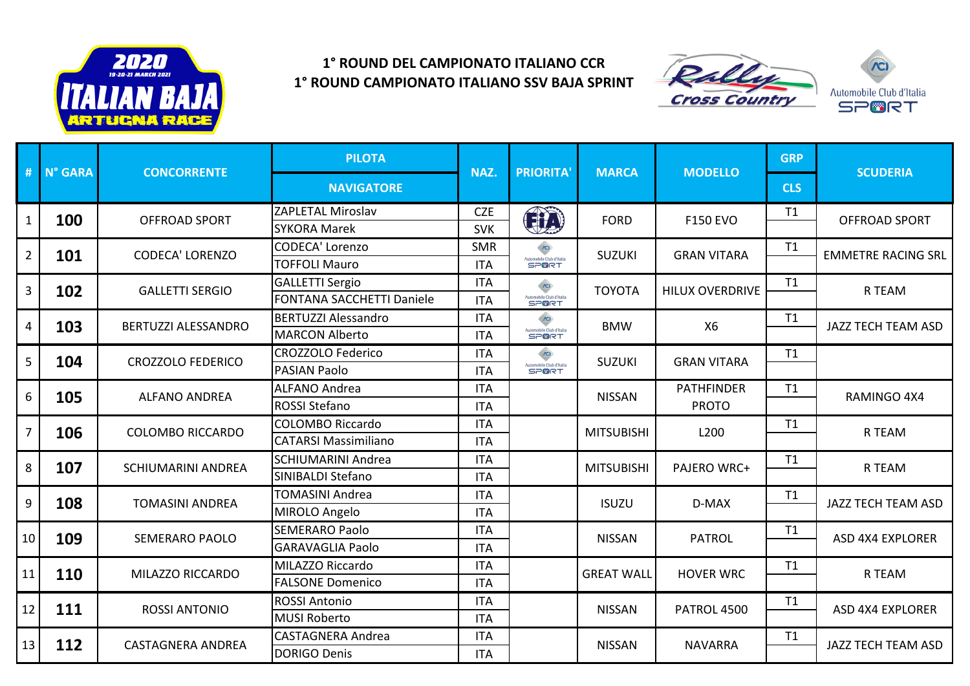

## **1° ROUND DEL CAMPIONATO ITALIANO CCR 1° ROUND CAMPIONATO ITALIANO SSV BAJA SPRINT**



| #              | N° GARA               | <b>CONCORRENTE</b>        | <b>PILOTA</b>                    | NAZ.       | <b>PRIORITA'</b>                               | <b>MARCA</b>      | <b>MODELLO</b>                    | <b>GRP</b> | <b>SCUDERIA</b>           |
|----------------|-----------------------|---------------------------|----------------------------------|------------|------------------------------------------------|-------------------|-----------------------------------|------------|---------------------------|
|                |                       |                           | <b>NAVIGATORE</b>                |            |                                                |                   |                                   | <b>CLS</b> |                           |
|                | 100<br>$\mathbf{1}$   | OFFROAD SPORT             | <b>ZAPLETAL Miroslav</b>         | <b>CZE</b> | GD                                             | <b>FORD</b>       | <b>F150 EVO</b>                   | T1         | <b>OFFROAD SPORT</b>      |
|                |                       |                           | <b>SYKORA Marek</b>              | <b>SVK</b> |                                                |                   |                                   |            |                           |
| $\overline{2}$ | 101                   | <b>CODECA' LORENZO</b>    | CODECA' Lorenzo                  | <b>SMR</b> | Automobile Club d'Italia<br>SP <sup>6</sup> RT | <b>SUZUKI</b>     | <b>GRAN VITARA</b>                | T1         | <b>EMMETRE RACING SRL</b> |
|                |                       |                           | <b>TOFFOLI Mauro</b>             | <b>ITA</b> |                                                |                   |                                   |            |                           |
| 3              | 102                   | <b>GALLETTI SERGIO</b>    | <b>GALLETTI Sergio</b>           | <b>ITA</b> | $\infty$<br>Automobile Club d'Italia<br>SPORT  | <b>TOYOTA</b>     | <b>HILUX OVERDRIVE</b>            | T1         | R TEAM                    |
|                |                       |                           | <b>FONTANA SACCHETTI Daniele</b> | <b>ITA</b> |                                                |                   |                                   |            |                           |
| 4              | 103                   | BERTUZZI ALESSANDRO       | <b>BERTUZZI Alessandro</b>       | <b>ITA</b> | $\infty$<br>Automobile Club d'Italia           | <b>BMW</b>        | <b>X6</b>                         | T1         | JAZZ TECH TEAM ASD        |
|                |                       |                           | <b>MARCON Alberto</b>            | <b>ITA</b> |                                                |                   |                                   |            |                           |
| 5              | 104                   | <b>CROZZOLO FEDERICO</b>  | <b>CROZZOLO Federico</b>         | <b>ITA</b> | $\sqrt{2}$                                     | <b>SUZUKI</b>     | <b>GRAN VITARA</b>                | T1         |                           |
|                |                       |                           | <b>PASIAN Paolo</b>              | <b>ITA</b> | Automobile Club d'Italia                       |                   |                                   |            |                           |
| 6              | 105                   | <b>ALFANO ANDREA</b>      | <b>ALFANO Andrea</b>             | <b>ITA</b> |                                                | <b>NISSAN</b>     | <b>PATHFINDER</b><br><b>PROTO</b> | T1         | RAMINGO 4X4               |
|                |                       |                           | ROSSI Stefano                    | <b>ITA</b> |                                                |                   |                                   |            |                           |
|                | $\overline{7}$<br>106 | <b>COLOMBO RICCARDO</b>   | <b>COLOMBO Riccardo</b>          | <b>ITA</b> |                                                | <b>MITSUBISHI</b> | L200                              | T1         | R TEAM                    |
|                |                       |                           | <b>CATARSI Massimiliano</b>      | <b>ITA</b> |                                                |                   |                                   |            |                           |
| 8              | 107                   | <b>SCHIUMARINI ANDREA</b> | <b>SCHIUMARINI Andrea</b>        | <b>ITA</b> |                                                | <b>MITSUBISHI</b> | PAJERO WRC+                       | T1         | R TEAM                    |
|                |                       |                           | SINIBALDI Stefano                | <b>ITA</b> |                                                |                   |                                   |            |                           |
| 9              | 108                   | <b>TOMASINI ANDREA</b>    | <b>TOMASINI Andrea</b>           | <b>ITA</b> |                                                | <b>ISUZU</b>      | D-MAX                             | T1         | JAZZ TECH TEAM ASD        |
|                |                       |                           | MIROLO Angelo                    | <b>ITA</b> |                                                |                   |                                   |            |                           |
| 10             | 109                   | <b>SEMERARO PAOLO</b>     | <b>SEMERARO Paolo</b>            | <b>ITA</b> |                                                | <b>NISSAN</b>     | <b>PATROL</b>                     | T1         | <b>ASD 4X4 EXPLORER</b>   |
|                |                       |                           | <b>GARAVAGLIA Paolo</b>          | <b>ITA</b> |                                                |                   |                                   |            |                           |
| 11             | 110                   | MILAZZO RICCARDO          | MILAZZO Riccardo                 | <b>ITA</b> |                                                | <b>GREAT WALL</b> | <b>HOVER WRC</b>                  | T1         | R TEAM                    |
|                |                       |                           | <b>FALSONE Domenico</b>          | <b>ITA</b> |                                                |                   |                                   |            |                           |
| 12             | 111                   | <b>ROSSI ANTONIO</b>      | <b>ROSSI Antonio</b>             | <b>ITA</b> |                                                | <b>NISSAN</b>     | PATROL 4500                       | T1         | <b>ASD 4X4 EXPLORER</b>   |
|                |                       |                           | <b>MUSI Roberto</b>              | <b>ITA</b> |                                                |                   |                                   |            |                           |
| 13             | 112                   | <b>CASTAGNERA ANDREA</b>  | <b>CASTAGNERA Andrea</b>         | <b>ITA</b> |                                                | <b>NISSAN</b>     | <b>NAVARRA</b>                    | T1         | JAZZ TECH TEAM ASD        |
|                |                       |                           | <b>DORIGO Denis</b>              | <b>ITA</b> |                                                |                   |                                   |            |                           |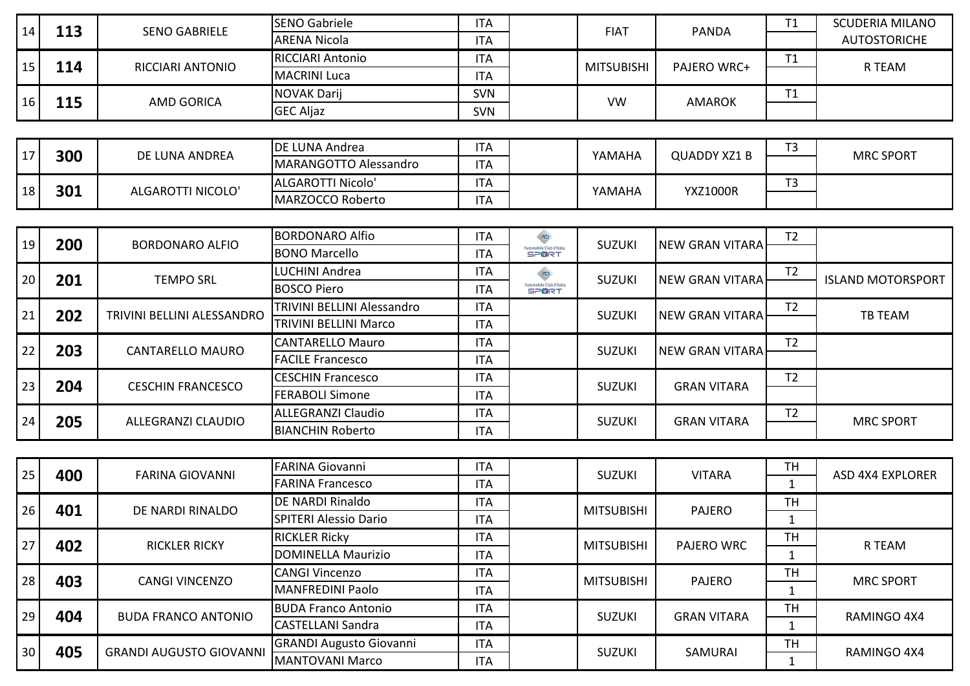| 14              | 113       | <b>SENO GABRIELE</b>           | <b>SENO Gabriele</b>           | <b>ITA</b> |                                               | <b>FIAT</b>       | <b>PANDA</b>           | T1             | <b>SCUDERIA MILANO</b>   |
|-----------------|-----------|--------------------------------|--------------------------------|------------|-----------------------------------------------|-------------------|------------------------|----------------|--------------------------|
|                 |           |                                | <b>ARENA Nicola</b>            | <b>ITA</b> |                                               |                   |                        |                | <b>AUTOSTORICHE</b>      |
|                 | 15<br>114 | RICCIARI ANTONIO               | <b>RICCIARI Antonio</b>        | <b>ITA</b> |                                               | <b>MITSUBISHI</b> | PAJERO WRC+            | T1             | R TEAM                   |
|                 |           |                                | <b>MACRINI Luca</b>            | <b>ITA</b> |                                               |                   |                        |                |                          |
|                 | 115<br>16 | <b>AMD GORICA</b>              | <b>NOVAK Darij</b>             | <b>SVN</b> |                                               | <b>VW</b>         | <b>AMAROK</b>          | T1             |                          |
|                 |           |                                | <b>GEC Aljaz</b>               | <b>SVN</b> |                                               |                   |                        |                |                          |
|                 |           |                                |                                |            |                                               |                   |                        |                |                          |
| 17              | 300       | DE LUNA ANDREA                 | DE LUNA Andrea                 | <b>ITA</b> |                                               | YAMAHA            | <b>QUADDY XZ1 B</b>    | T <sub>3</sub> | <b>MRC SPORT</b>         |
|                 |           |                                | <b>MARANGOTTO Alessandro</b>   | <b>ITA</b> |                                               |                   |                        |                |                          |
| 18              | 301       | ALGAROTTI NICOLO'              | ALGAROTTI Nicolo'              | <b>ITA</b> |                                               | YAMAHA            | <b>YXZ1000R</b>        | T <sub>3</sub> |                          |
|                 |           |                                | MARZOCCO Roberto               | <b>ITA</b> |                                               |                   |                        |                |                          |
|                 |           |                                |                                |            |                                               |                   |                        |                |                          |
| 19              | 200       | <b>BORDONARO ALFIO</b>         | <b>BORDONARO Alfio</b>         | <b>ITA</b> | $\sqrt{2}$<br><b>Nutomobile Club d'Italia</b> | <b>SUZUKI</b>     | <b>NEW GRAN VITARA</b> | T <sub>2</sub> |                          |
|                 |           |                                | <b>BONO Marcello</b>           | <b>ITA</b> | <b>SPORT</b>                                  |                   |                        |                |                          |
| 20              | 201       | <b>TEMPO SRL</b>               | LUCHINI Andrea                 | <b>ITA</b> | $\widehat{C}$                                 | <b>SUZUKI</b>     | <b>NEW GRAN VITARA</b> | T <sub>2</sub> | <b>ISLAND MOTORSPORT</b> |
|                 |           |                                | <b>BOSCO Piero</b>             | <b>ITA</b> | Automobile Club d'Italia                      |                   |                        |                |                          |
| 21              | 202       | TRIVINI BELLINI ALESSANDRO     | TRIVINI BELLINI Alessandro     | <b>ITA</b> |                                               | <b>SUZUKI</b>     | <b>NEW GRAN VITARA</b> | T <sub>2</sub> | <b>TB TEAM</b>           |
|                 |           |                                | TRIVINI BELLINI Marco          | <b>ITA</b> |                                               |                   |                        |                |                          |
| 22              | 203       | <b>CANTARELLO MAURO</b>        | <b>CANTARELLO Mauro</b>        | <b>ITA</b> |                                               | <b>SUZUKI</b>     | <b>NEW GRAN VITARA</b> | T <sub>2</sub> |                          |
|                 |           |                                | <b>FACILE Francesco</b>        | <b>ITA</b> |                                               |                   |                        |                |                          |
| 23              | 204       | <b>CESCHIN FRANCESCO</b>       | <b>CESCHIN Francesco</b>       | <b>ITA</b> |                                               | <b>SUZUKI</b>     | <b>GRAN VITARA</b>     | T <sub>2</sub> |                          |
|                 |           |                                | <b>FERABOLI Simone</b>         | <b>ITA</b> |                                               |                   |                        |                |                          |
| 24              | 205       | ALLEGRANZI CLAUDIO             | <b>ALLEGRANZI Claudio</b>      | <b>ITA</b> |                                               | <b>SUZUKI</b>     | <b>GRAN VITARA</b>     | T <sub>2</sub> | <b>MRC SPORT</b>         |
|                 |           |                                | <b>BIANCHIN Roberto</b>        | <b>ITA</b> |                                               |                   |                        |                |                          |
|                 |           |                                |                                |            |                                               |                   |                        |                |                          |
| 25              | 400       | <b>FARINA GIOVANNI</b>         | <b>FARINA Giovanni</b>         | <b>ITA</b> |                                               | <b>SUZUKI</b>     | <b>VITARA</b>          | <b>TH</b>      | <b>ASD 4X4 EXPLORER</b>  |
|                 |           |                                | <b>FARINA Francesco</b>        | <b>ITA</b> |                                               |                   |                        | $\mathbf{1}$   |                          |
| 26              | 401       | DE NARDI RINALDO               | DE NARDI Rinaldo               | <b>ITA</b> |                                               | <b>MITSUBISHI</b> | <b>PAJERO</b>          | <b>TH</b>      |                          |
|                 |           |                                | <b>SPITERI Alessio Dario</b>   | <b>ITA</b> |                                               |                   |                        | $\mathbf{1}$   |                          |
| 27              | 402       | <b>RICKLER RICKY</b>           | <b>RICKLER Ricky</b>           | <b>ITA</b> |                                               | <b>MITSUBISHI</b> | PAJERO WRC             | <b>TH</b>      | R TEAM                   |
|                 |           |                                | <b>DOMINELLA Maurizio</b>      | <b>ITA</b> |                                               |                   |                        | $\mathbf{1}$   |                          |
|                 | 403<br>28 | <b>CANGI VINCENZO</b>          | <b>CANGI Vincenzo</b>          | <b>ITA</b> |                                               | <b>MITSUBISHI</b> | PAJERO                 | <b>TH</b>      | <b>MRC SPORT</b>         |
|                 |           |                                | <b>MANFREDINI Paolo</b>        | <b>ITA</b> |                                               |                   |                        | $\mathbf{1}$   |                          |
| 29              | 404       | <b>BUDA FRANCO ANTONIO</b>     | <b>BUDA Franco Antonio</b>     | <b>ITA</b> |                                               | <b>SUZUKI</b>     | <b>GRAN VITARA</b>     | <b>TH</b>      | RAMINGO 4X4              |
|                 |           |                                | <b>CASTELLANI Sandra</b>       | <b>ITA</b> |                                               |                   |                        | $\mathbf{1}$   |                          |
| 30 <sup>°</sup> | 405       | <b>GRANDI AUGUSTO GIOVANNI</b> | <b>GRANDI Augusto Giovanni</b> | <b>ITA</b> |                                               | <b>SUZUKI</b>     | SAMURAI                | <b>TH</b>      | RAMINGO 4X4              |
|                 |           |                                | <b>MANTOVANI Marco</b>         | <b>ITA</b> |                                               |                   |                        | $\mathbf{1}$   |                          |